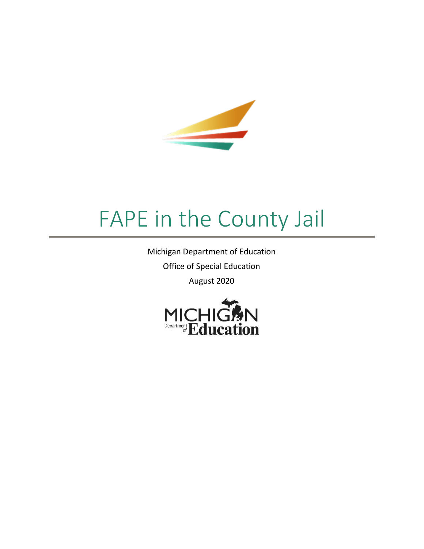

# FAPE in the County Jail

Michigan Department of Education Office of Special Education August 2020

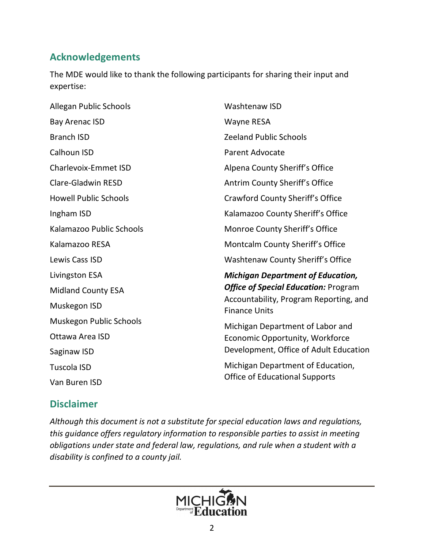## **Acknowledgements**

The MDE would like to thank the following participants for sharing their input and expertise:

| Allegan Public Schools       | Washtenaw ISD                                                  |
|------------------------------|----------------------------------------------------------------|
| <b>Bay Arenac ISD</b>        | <b>Wayne RESA</b>                                              |
| <b>Branch ISD</b>            | <b>Zeeland Public Schools</b>                                  |
| Calhoun ISD                  | <b>Parent Advocate</b>                                         |
| <b>Charlevoix-Emmet ISD</b>  | Alpena County Sheriff's Office                                 |
| <b>Clare-Gladwin RESD</b>    | Antrim County Sheriff's Office                                 |
| <b>Howell Public Schools</b> | Crawford County Sheriff's Office                               |
| Ingham ISD                   | Kalamazoo County Sheriff's Office                              |
| Kalamazoo Public Schools     | Monroe County Sheriff's Office                                 |
| Kalamazoo RESA               | Montcalm County Sheriff's Office                               |
| Lewis Cass ISD               | Washtenaw County Sheriff's Office                              |
| Livingston ESA               | <b>Michigan Department of Education,</b>                       |
| <b>Midland County ESA</b>    | <b>Office of Special Education: Program</b>                    |
| Muskegon ISD                 | Accountability, Program Reporting, and<br><b>Finance Units</b> |
| Muskegon Public Schools      | Michigan Department of Labor and                               |
| Ottawa Area ISD              | Economic Opportunity, Workforce                                |
| Saginaw ISD                  | Development, Office of Adult Education                         |
| <b>Tuscola ISD</b>           | Michigan Department of Education,                              |
| Van Buren ISD                | <b>Office of Educational Supports</b>                          |

#### **Disclaimer**

*Although this document is not a substitute for special education laws and regulations, this guidance offers regulatory information to responsible parties to assist in meeting obligations under state and federal law, regulations, and rule when a student with a disability is confined to a county jail.*

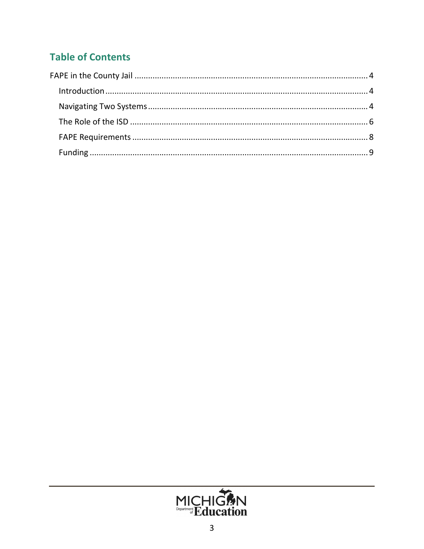# **Table of Contents**

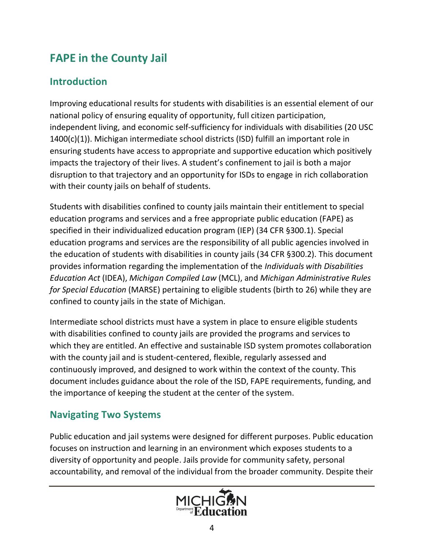# <span id="page-3-0"></span>**FAPE in the County Jail**

#### <span id="page-3-1"></span>**Introduction**

Improving educational results for students with disabilities is an essential element of our national policy of ensuring equality of opportunity, full citizen participation, independent living, and economic self-sufficiency for individuals with disabilities (20 USC 1400(c)(1)). Michigan intermediate school districts (ISD) fulfill an important role in ensuring students have access to appropriate and supportive education which positively impacts the trajectory of their lives. A student's confinement to jail is both a major disruption to that trajectory and an opportunity for ISDs to engage in rich collaboration with their county jails on behalf of students.

Students with disabilities confined to county jails maintain their entitlement to special education programs and services and a free appropriate public education (FAPE) as specified in their individualized education program (IEP) (34 CFR §300.1). Special education programs and services are the responsibility of all public agencies involved in the education of students with disabilities in county jails (34 CFR §300.2). This document provides information regarding the implementation of the *Individuals with Disabilities Education Act* (IDEA), *Michigan Compiled Law* (MCL), and *Michigan Administrative Rules for Special Education* (MARSE) pertaining to eligible students (birth to 26) while they are confined to county jails in the state of Michigan.

Intermediate school districts must have a system in place to ensure eligible students with disabilities confined to county jails are provided the programs and services to which they are entitled. An effective and sustainable ISD system promotes collaboration with the county jail and is student-centered, flexible, regularly assessed and continuously improved, and designed to work within the context of the county. This document includes guidance about the role of the ISD, FAPE requirements, funding, and the importance of keeping the student at the center of the system.

## <span id="page-3-2"></span>**Navigating Two Systems**

Public education and jail systems were designed for different purposes. Public education focuses on instruction and learning in an environment which exposes students to a diversity of opportunity and people. Jails provide for community safety, personal accountability, and removal of the individual from the broader community. Despite their

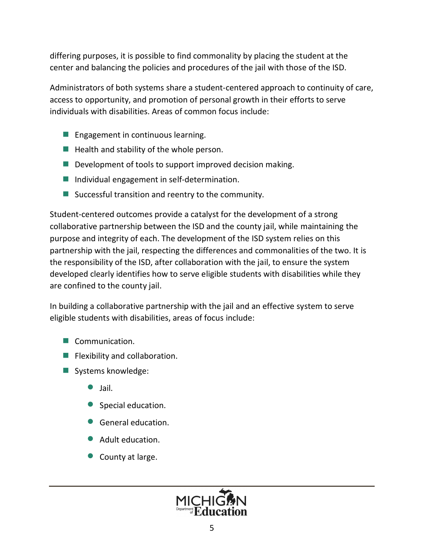differing purposes, it is possible to find commonality by placing the student at the center and balancing the policies and procedures of the jail with those of the ISD.

Administrators of both systems share a student-centered approach to continuity of care, access to opportunity, and promotion of personal growth in their efforts to serve individuals with disabilities. Areas of common focus include:

- Engagement in continuous learning.
- $\blacksquare$  Health and stability of the whole person.
- $\blacksquare$  Development of tools to support improved decision making.
- Individual engagement in self-determination.
- Successful transition and reentry to the community.

Student-centered outcomes provide a catalyst for the development of a strong collaborative partnership between the ISD and the county jail, while maintaining the purpose and integrity of each. The development of the ISD system relies on this partnership with the jail, respecting the differences and commonalities of the two. It is the responsibility of the ISD, after collaboration with the jail, to ensure the system developed clearly identifies how to serve eligible students with disabilities while they are confined to the county jail.

In building a collaborative partnership with the jail and an effective system to serve eligible students with disabilities, areas of focus include:

- Communication.
- **E** Flexibility and collaboration.
- Systems knowledge:
	- $\bullet$  Jail.
	- · Special education.
	- General education.
	- **Adult education.**
	- County at large.

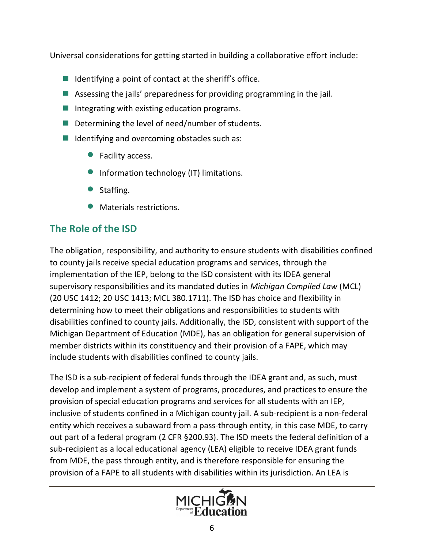Universal considerations for getting started in building a collaborative effort include:

- $\blacksquare$  Identifying a point of contact at the sheriff's office.
- **E** Assessing the jails' preparedness for providing programming in the jail.
- $\blacksquare$  Integrating with existing education programs.
- Determining the level of need/number of students.
- $\blacksquare$  Identifying and overcoming obstacles such as:
	- Facility access.
	- · Information technology (IT) limitations.
	- Staffing.
	- · Materials restrictions.

# <span id="page-5-0"></span>**The Role of the ISD**

The obligation, responsibility, and authority to ensure students with disabilities confined to county jails receive special education programs and services, through the implementation of the IEP, belong to the ISD consistent with its IDEA general supervisory responsibilities and its mandated duties in *Michigan Compiled Law* (MCL) (20 USC 1412; 20 USC 1413; MCL 380.1711). The ISD has choice and flexibility in determining how to meet their obligations and responsibilities to students with disabilities confined to county jails. Additionally, the ISD, consistent with support of the Michigan Department of Education (MDE), has an obligation for general supervision of member districts within its constituency and their provision of a FAPE, which may include students with disabilities confined to county jails.

The ISD is a sub-recipient of federal funds through the IDEA grant and, as such, must develop and implement a system of programs, procedures, and practices to ensure the provision of special education programs and services for all students with an IEP, inclusive of students confined in a Michigan county jail. A sub-recipient is a non-federal entity which receives a subaward from a pass-through entity, in this case MDE, to carry out part of a federal program (2 CFR §200.93). The ISD meets the federal definition of a sub-recipient as a local educational agency (LEA) eligible to receive IDEA grant funds from MDE, the pass through entity, and is therefore responsible for ensuring the provision of a FAPE to all students with disabilities within its jurisdiction. An LEA is

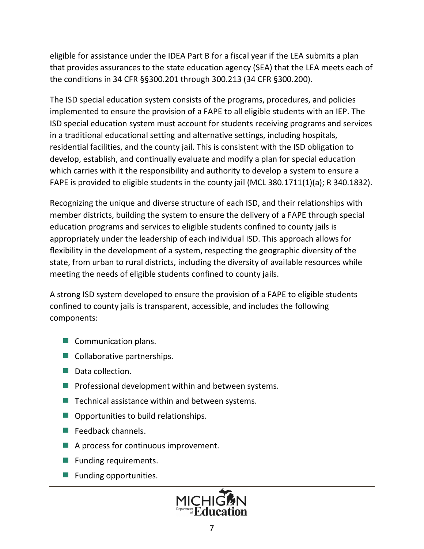eligible for assistance under the IDEA Part B for a fiscal year if the LEA submits a plan that provides assurances to the state education agency (SEA) that the LEA meets each of the conditions in 34 CFR §§300.201 through 300.213 (34 CFR §300.200).

The ISD special education system consists of the programs, procedures, and policies implemented to ensure the provision of a FAPE to all eligible students with an IEP. The ISD special education system must account for students receiving programs and services in a traditional educational setting and alternative settings, including hospitals, residential facilities, and the county jail. This is consistent with the ISD obligation to develop, establish, and continually evaluate and modify a plan for special education which carries with it the responsibility and authority to develop a system to ensure a FAPE is provided to eligible students in the county jail (MCL 380.1711(1)(a); R 340.1832).

Recognizing the unique and diverse structure of each ISD, and their relationships with member districts, building the system to ensure the delivery of a FAPE through special education programs and services to eligible students confined to county jails is appropriately under the leadership of each individual ISD. This approach allows for flexibility in the development of a system, respecting the geographic diversity of the state, from urban to rural districts, including the diversity of available resources while meeting the needs of eligible students confined to county jails.

A strong ISD system developed to ensure the provision of a FAPE to eligible students confined to county jails is transparent, accessible, and includes the following components:

- Communication plans.
- Collaborative partnerships.
- Data collection.
- **Perofessional development within and between systems.**
- $\blacksquare$  Technical assistance within and between systems.
- Opportunities to build relationships.
- $\blacksquare$  Feedback channels.
- A process for continuous improvement.
- **Funding requirements.**
- **E** Funding opportunities.

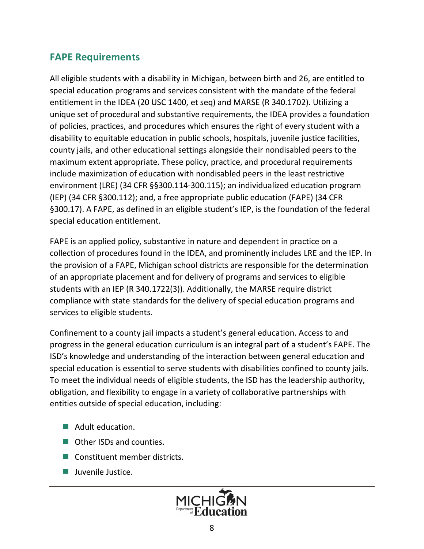#### <span id="page-7-0"></span>**FAPE Requirements**

All eligible students with a disability in Michigan, between birth and 26, are entitled to special education programs and services consistent with the mandate of the federal entitlement in the IDEA (20 USC 1400, et seq) and MARSE (R 340.1702). Utilizing a unique set of procedural and substantive requirements, the IDEA provides a foundation of policies, practices, and procedures which ensures the right of every student with a disability to equitable education in public schools, hospitals, juvenile justice facilities, county jails, and other educational settings alongside their nondisabled peers to the maximum extent appropriate. These policy, practice, and procedural requirements include maximization of education with nondisabled peers in the least restrictive environment (LRE) (34 CFR §§300.114-300.115); an individualized education program (IEP) (34 CFR §300.112); and, a free appropriate public education (FAPE) (34 CFR §300.17). A FAPE, as defined in an eligible student's IEP, is the foundation of the federal special education entitlement.

FAPE is an applied policy, substantive in nature and dependent in practice on a collection of procedures found in the IDEA, and prominently includes LRE and the IEP. In the provision of a FAPE, Michigan school districts are responsible for the determination of an appropriate placement and for delivery of programs and services to eligible students with an IEP (R 340.1722(3)). Additionally, the MARSE require district compliance with state standards for the delivery of special education programs and services to eligible students.

Confinement to a county jail impacts a student's general education. Access to and progress in the general education curriculum is an integral part of a student's FAPE. The ISD's knowledge and understanding of the interaction between general education and special education is essential to serve students with disabilities confined to county jails. To meet the individual needs of eligible students, the ISD has the leadership authority, obligation, and flexibility to engage in a variety of collaborative partnerships with entities outside of special education, including:

- Adult education.
- Other ISDs and counties.
- Constituent member districts.
- **■** Juvenile Justice.

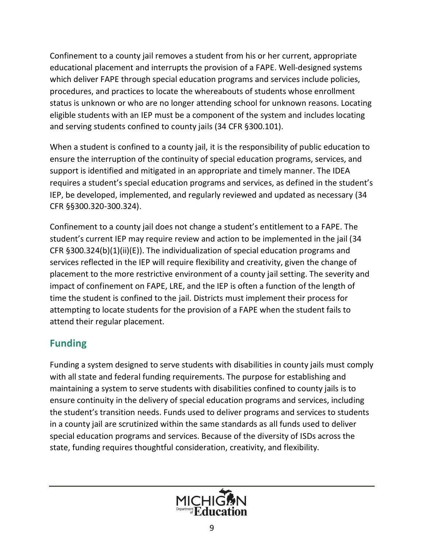Confinement to a county jail removes a student from his or her current, appropriate educational placement and interrupts the provision of a FAPE. Well-designed systems which deliver FAPE through special education programs and services include policies, procedures, and practices to locate the whereabouts of students whose enrollment status is unknown or who are no longer attending school for unknown reasons. Locating eligible students with an IEP must be a component of the system and includes locating and serving students confined to county jails (34 CFR §300.101).

When a student is confined to a county jail, it is the responsibility of public education to ensure the interruption of the continuity of special education programs, services, and support is identified and mitigated in an appropriate and timely manner. The IDEA requires a student's special education programs and services, as defined in the student's IEP, be developed, implemented, and regularly reviewed and updated as necessary (34 CFR §§300.320-300.324).

Confinement to a county jail does not change a student's entitlement to a FAPE. The student's current IEP may require review and action to be implemented in the jail (34 CFR §300.324(b)(1)(ii)(E)). The individualization of special education programs and services reflected in the IEP will require flexibility and creativity, given the change of placement to the more restrictive environment of a county jail setting. The severity and impact of confinement on FAPE, LRE, and the IEP is often a function of the length of time the student is confined to the jail. Districts must implement their process for attempting to locate students for the provision of a FAPE when the student fails to attend their regular placement.

## <span id="page-8-0"></span>**Funding**

Funding a system designed to serve students with disabilities in county jails must comply with all state and federal funding requirements. The purpose for establishing and maintaining a system to serve students with disabilities confined to county jails is to ensure continuity in the delivery of special education programs and services, including the student's transition needs. Funds used to deliver programs and services to students in a county jail are scrutinized within the same standards as all funds used to deliver special education programs and services. Because of the diversity of ISDs across the state, funding requires thoughtful consideration, creativity, and flexibility.

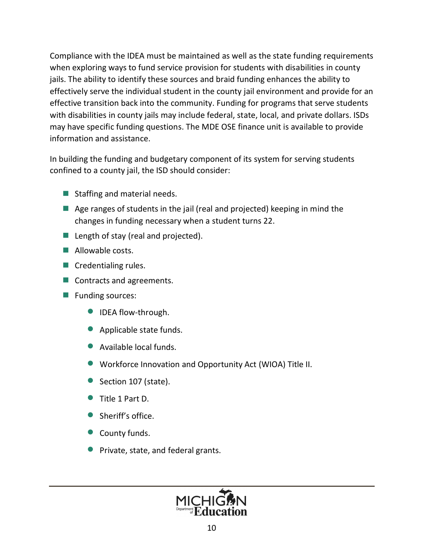Compliance with the IDEA must be maintained as well as the state funding requirements when exploring ways to fund service provision for students with disabilities in county jails. The ability to identify these sources and braid funding enhances the ability to effectively serve the individual student in the county jail environment and provide for an effective transition back into the community. Funding for programs that serve students with disabilities in county jails may include federal, state, local, and private dollars. ISDs may have specific funding questions. The MDE OSE finance unit is available to provide information and assistance.

In building the funding and budgetary component of its system for serving students confined to a county jail, the ISD should consider:

- Staffing and material needs.
- $\blacksquare$  Age ranges of students in the jail (real and projected) keeping in mind the changes in funding necessary when a student turns 22.
- Length of stay (real and projected).
- $\blacksquare$  Allowable costs.
- $\blacksquare$  Credentialing rules.
- Contracts and agreements.
- Funding sources:
	- **IDEA flow-through.**
	- Applicable state funds.
	- · Available local funds.
	- · Workforce Innovation and Opportunity Act (WIOA) Title II.
	- Section 107 (state).
	- · Title 1 Part D.
	- Sheriff's office.
	- County funds.
	- · Private, state, and federal grants.